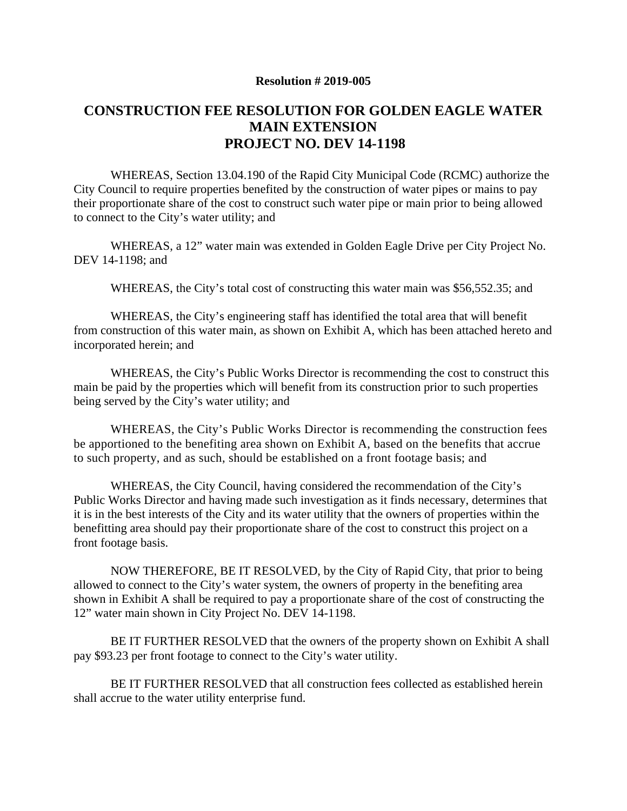## **Resolution # 2019-005**

## **CONSTRUCTION FEE RESOLUTION FOR GOLDEN EAGLE WATER MAIN EXTENSION PROJECT NO. DEV 14-1198**

WHEREAS, Section 13.04.190 of the Rapid City Municipal Code (RCMC) authorize the City Council to require properties benefited by the construction of water pipes or mains to pay their proportionate share of the cost to construct such water pipe or main prior to being allowed to connect to the City's water utility; and

WHEREAS, a 12" water main was extended in Golden Eagle Drive per City Project No. DEV 14-1198; and

WHEREAS, the City's total cost of constructing this water main was \$56,552.35; and

WHEREAS, the City's engineering staff has identified the total area that will benefit from construction of this water main, as shown on Exhibit A, which has been attached hereto and incorporated herein; and

WHEREAS, the City's Public Works Director is recommending the cost to construct this main be paid by the properties which will benefit from its construction prior to such properties being served by the City's water utility; and

WHEREAS, the City's Public Works Director is recommending the construction fees be apportioned to the benefiting area shown on Exhibit A, based on the benefits that accrue to such property, and as such, should be established on a front footage basis; and

WHEREAS, the City Council, having considered the recommendation of the City's Public Works Director and having made such investigation as it finds necessary, determines that it is in the best interests of the City and its water utility that the owners of properties within the benefitting area should pay their proportionate share of the cost to construct this project on a front footage basis.

NOW THEREFORE, BE IT RESOLVED, by the City of Rapid City, that prior to being allowed to connect to the City's water system, the owners of property in the benefiting area shown in Exhibit A shall be required to pay a proportionate share of the cost of constructing the 12" water main shown in City Project No. DEV 14-1198.

BE IT FURTHER RESOLVED that the owners of the property shown on Exhibit A shall pay \$93.23 per front footage to connect to the City's water utility.

BE IT FURTHER RESOLVED that all construction fees collected as established herein shall accrue to the water utility enterprise fund.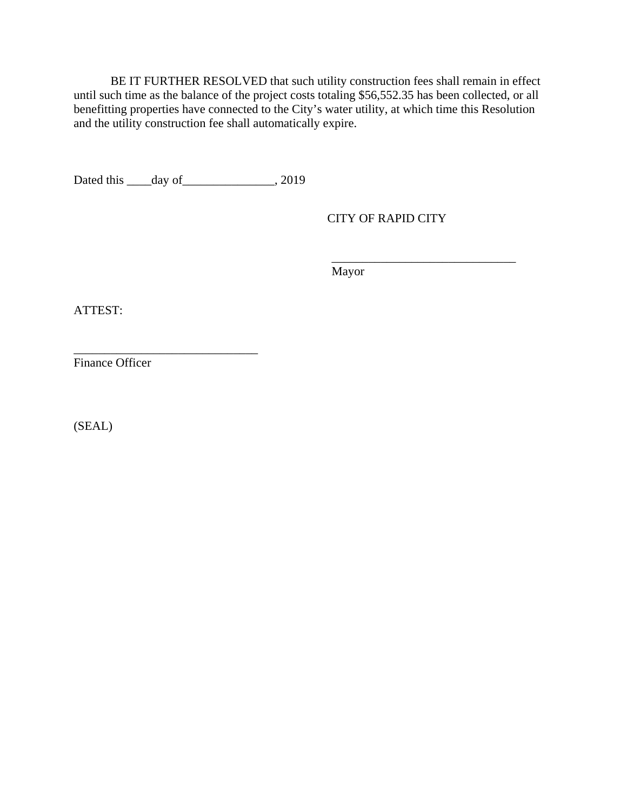BE IT FURTHER RESOLVED that such utility construction fees shall remain in effect until such time as the balance of the project costs totaling \$56,552.35 has been collected, or all benefitting properties have connected to the City's water utility, at which time this Resolution and the utility construction fee shall automatically expire.

Dated this \_\_\_\_day of \_\_\_\_\_\_\_\_\_\_\_\_\_\_\_, 2019

CITY OF RAPID CITY

\_\_\_\_\_\_\_\_\_\_\_\_\_\_\_\_\_\_\_\_\_\_\_\_\_\_\_\_\_\_

Mayor

ATTEST:

Finance Officer

\_\_\_\_\_\_\_\_\_\_\_\_\_\_\_\_\_\_\_\_\_\_\_\_\_\_\_\_\_\_

(SEAL)